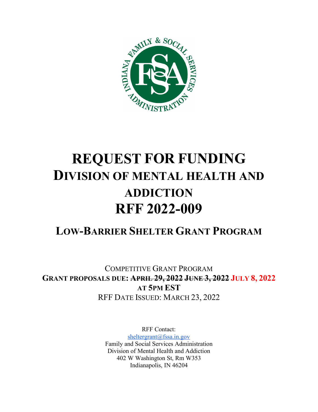

# **REQUEST FOR FUNDING DIVISION OF MENTAL HEALTH AND ADDICTION RFF 2022-009**

# **LOW-BARRIER SHELTER GRANT PROGRAM**

COMPETITIVE GRANT PROGRAM **GRANT PROPOSALS DUE: APRIL 29, 2022 JUNE 3, 2022 JULY 8, 2022 AT 5PM EST** RFF DATE ISSUED: MARCH 23, 2022

> RFF Contact: [sheltergrant@fssa.in.gov](mailto:sheltergrant@fssa.in.gov) Family and Social Services Administration Division of Mental Health and Addiction 402 W Washington St, Rm W353 Indianapolis, IN 46204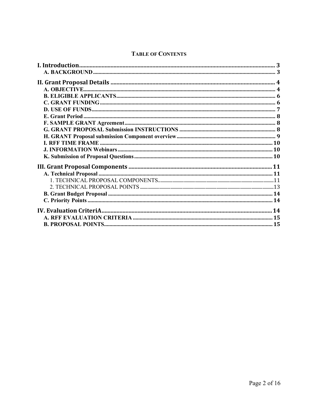### **TABLE OF CONTENTS**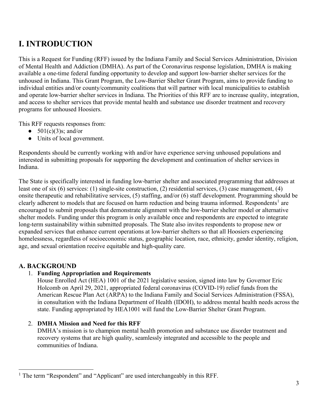# <span id="page-2-0"></span>**I. INTRODUCTION**

This is a Request for Funding (RFF) issued by the Indiana Family and Social Services Administration, Division of Mental Health and Addiction (DMHA). As part of the Coronavirus response legislation, DMHA is making available a one-time federal funding opportunity to develop and support low-barrier shelter services for the unhoused in Indiana. This Grant Program, the Low-Barrier Shelter Grant Program, aims to provide funding to individual entities and/or county/community coalitions that will partner with local municipalities to establish and operate low-barrier shelter services in Indiana. The Priorities of this RFF are to increase quality, integration, and access to shelter services that provide mental health and substance use disorder treatment and recovery programs for unhoused Hoosiers.

This RFF requests responses from:

- $\bullet$  501(c)(3)s; and/or
- Units of local government.

Respondents should be currently working with and/or have experience serving unhoused populations and interested in submitting proposals for supporting the development and continuation of shelter services in Indiana.

The State is specifically interested in funding low-barrier shelter and associated programming that addresses at least one of six (6) services: (1) single-site construction, (2) residential services, (3) case management, (4) onsite therapeutic and rehabilitative services, (5) staffing, and/or (6) staff development. Programming should be clearly adherent to models that are focused on harm reduction and being trauma informed. Respondents<sup>[1](#page-2-2)</sup> are encouraged to submit proposals that demonstrate alignment with the low-barrier shelter model or alternative shelter models. Funding under this program is only available once and respondents are expected to integrate long-term sustainability within submitted proposals. The State also invites respondents to propose new or expanded services that enhance current operations at low-barrier shelters so that all Hoosiers experiencing homelessness, regardless of socioeconomic status, geographic location, race, ethnicity, gender identity, religion, age, and sexual orientation receive equitable and high-quality care.

# <span id="page-2-1"></span>**A. BACKGROUND**

# 1. **Funding Appropriation and Requirements**

House Enrolled Act (HEA) 1001 of the 2021 legislative session, signed into law by Governor Eric Holcomb on April 29, 2021, appropriated federal coronavirus (COVID-19) relief funds from the American Rescue Plan Act (ARPA) to the Indiana Family and Social Services Administration (FSSA), in consultation with the Indiana Department of Health (IDOH), to address mental health needs across the state. Funding appropriated by HEA1001 will fund the Low-Barrier Shelter Grant Program.

# 2. **DMHA Mission and Need for this RFF**

DMHA's mission is to champion mental health promotion and substance use disorder treatment and recovery systems that are high quality, seamlessly integrated and accessible to the people and communities of Indiana.

<span id="page-2-2"></span><sup>&</sup>lt;sup>1</sup> The term "Respondent" and "Applicant" are used interchangeably in this RFF.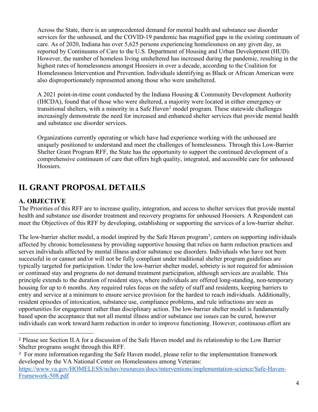Across the State, there is an unprecedented demand for mental health and substance use disorder services for the unhoused, and the COVID-19 pandemic has magnified gaps in the existing continuum of care. As of 2020, Indiana has over 5,625 persons experiencing homelessness on any given day, as reported by Continuums of Care to the U.S. Department of Housing and Urban Development (HUD). However, the number of homeless living unsheltered has increased during the pandemic, resulting in the highest rates of homelessness amongst Hoosiers in over a decade, according to the Coalition for Homelessness Intervention and Prevention. Individuals identifying as Black or African American were also disproportionately represented among those who were unsheltered.

A 2021 point-in-time count conducted by the Indiana Housing & Community Development Authority (IHCDA), found that of those who were sheltered, a majority were located in either emergency or transitional shelters, with a minority in a Safe Haven<sup>[2](#page-3-2)</sup> model program. These statewide challenges increasingly demonstrate the need for increased and enhanced shelter services that provide mental health and substance use disorder services.

Organizations currently operating or which have had experience working with the unhoused are uniquely positioned to understand and meet the challenges of homelessness. Through this Low-Barrier Shelter Grant Program RFF, the State has the opportunity to support the continued development of a comprehensive continuum of care that offers high quality, integrated, and accessible care for unhoused Hoosiers.

# <span id="page-3-0"></span>**II. GRANT PROPOSAL DETAILS**

# <span id="page-3-1"></span>**A. OBJECTIVE**

The Priorities of this RFF are to increase quality, integration, and access to shelter services that provide mental health and substance use disorder treatment and recovery programs for unhoused Hoosiers. A Respondent can meet the Objectives of this RFF by developing, establishing or supporting the services of a low-barrier shelter.

The low-barrier shelter model, a model inspired by the Safe Haven program<sup>[3](#page-3-3)</sup>, centers on supporting individuals affected by chronic homelessness by providing supportive housing that relies on harm reduction practices and serves individuals affected by mental illness and/or substance use disorders. Individuals who have not been successful in or cannot and/or will not be fully compliant under traditional shelter program guidelines are typically targeted for participation. Under the low-barrier shelter model, sobriety is not required for admission or continued stay and programs do not demand treatment participation, although services are available. This principle extends to the duration of resident stays, where individuals are offered long-standing, non-temporary housing for up to 6 months. Any required rules focus on the safety of staff and residents, keeping barriers to entry and service at a minimum to ensure service provision for the hardest to reach individuals. Additionally, resident episodes of intoxication, substance use, compliance problems, and rule infractions are seen as opportunities for engagement rather than disciplinary action. The low-barrier shelter model is fundamentally based upon the acceptance that not all mental illness and/or substance use issues can be cured, however individuals can work toward harm reduction in order to improve functioning. However, continuous effort are

<span id="page-3-2"></span><sup>2</sup> Please see Section II.A for a discussion of the Safe Haven model and its relationship to the Low Barrier Shelter programs sought through this RFF.

<span id="page-3-3"></span><sup>&</sup>lt;sup>3</sup> For more information regarding the Safe Haven model, please refer to the implementation framework developed by the VA National Center on Homelessness among Veterans:

[https://www.va.gov/HOMELESS/nchav/resources/docs/interventions/implementation-science/Safe-Haven-](https://www.va.gov/HOMELESS/nchav/resources/docs/interventions/implementation-science/Safe-Haven-Framework-508.pdf)[Framework-508.pdf](https://www.va.gov/HOMELESS/nchav/resources/docs/interventions/implementation-science/Safe-Haven-Framework-508.pdf)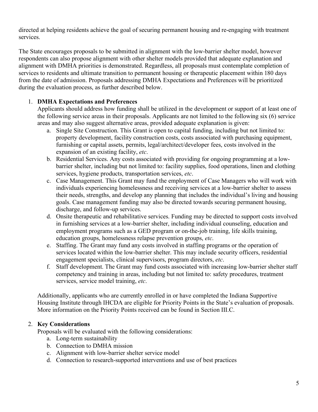directed at helping residents achieve the goal of securing permanent housing and re-engaging with treatment services.

The State encourages proposals to be submitted in alignment with the low-barrier shelter model, however respondents can also propose alignment with other shelter models provided that adequate explanation and alignment with DMHA priorities is demonstrated. Regardless, all proposals must contemplate completion of services to residents and ultimate transition to permanent housing or therapeutic placement within 180 days from the date of admission. Proposals addressing DMHA Expectations and Preferences will be prioritized during the evaluation process, as further described below.

### 1. **DMHA Expectations and Preferences**

Applicants should address how funding shall be utilized in the development or support of at least one of the following service areas in their proposals. Applicants are not limited to the following six (6) service areas and may also suggest alternative areas, provided adequate explanation is given:

- a. Single Site Construction. This Grant is open to capital funding, including but not limited to: property development, facility construction costs, costs associated with purchasing equipment, furnishing or capital assets, permits, legal/architect/developer fees, costs involved in the expansion of an existing facility, *etc*.
- b. Residential Services. Any costs associated with providing for ongoing programming at a lowbarrier shelter, including but not limited to: facility supplies, food operations, linen and clothing services, hygiene products, transportation services, *etc*.
- c. Case Management. This Grant may fund the employment of Case Managers who will work with individuals experiencing homelessness and receiving services at a low-barrier shelter to assess their needs, strengths, and develop any planning that includes the individual's living and housing goals. Case management funding may also be directed towards securing permanent housing, discharge, and follow-up services.
- d. Onsite therapeutic and rehabilitative services. Funding may be directed to support costs involved in furnishing services at a low-barrier shelter, including individual counseling, education and employment programs such as a GED program or on-the-job training, life skills training, education groups, homelessness relapse prevention groups, *etc*.
- e. Staffing. The Grant may fund any costs involved in staffing programs or the operation of services located within the low-barrier shelter. This may include security officers, residential engagement specialists, clinical supervisors, program directors, *etc*.
- f. Staff development. The Grant may fund costs associated with increasing low-barrier shelter staff competency and training in areas, including but not limited to: safety procedures, treatment services, service model training, *etc*.

Additionally, applicants who are currently enrolled in or have completed the Indiana Supportive Housing Institute through IHCDA are eligible for Priority Points in the State's evaluation of proposals. More information on the Priority Points received can be found in Section III.C.

### 2. **Key Considerations**

Proposals will be evaluated with the following considerations:

- a. Long-term sustainability
- b. Connection to DMHA mission
- c. Alignment with low-barrier shelter service model
- d. Connection to research-supported interventions and use of best practices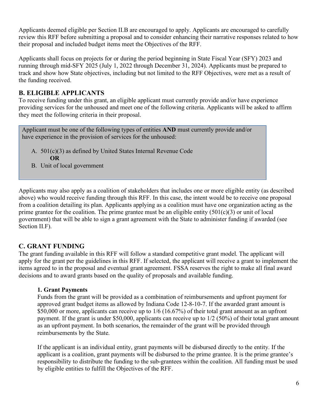Applicants deemed eligible per Section II.B are encouraged to apply. Applicants are encouraged to carefully review this RFF before submitting a proposal and to consider enhancing their narrative responses related to how their proposal and included budget items meet the Objectives of the RFF.

Applicants shall focus on projects for or during the period beginning in State Fiscal Year (SFY) 2023 and running through mid-SFY 2025 (July 1, 2022 through December 31, 2024). Applicants must be prepared to track and show how State objectives, including but not limited to the RFF Objectives, were met as a result of the funding received.

### <span id="page-5-0"></span>**B. ELIGIBLE APPLICANTS**

To receive funding under this grant, an eligible applicant must currently provide and/or have experience providing services for the unhoused and meet one of the following criteria. Applicants will be asked to affirm they meet the following criteria in their proposal.

Applicant must be one of the following types of entities **AND** must currently provide and/or have experience in the provision of services for the unhoused:

- A. 501(c)(3) as defined by United States Internal Revenue Code **OR**
- B. Unit of local government

Applicants may also apply as a coalition of stakeholders that includes one or more eligible entity (as described above) who would receive funding through this RFF. In this case, the intent would be to receive one proposal from a coalition detailing its plan. Applicants applying as a coalition must have one organization acting as the prime grantee for the coalition. The prime grantee must be an eligible entity  $(501(c)(3))$  or unit of local government) that will be able to sign a grant agreement with the State to administer funding if awarded (see Section II.F).

# <span id="page-5-1"></span>**C. GRANT FUNDING**

The grant funding available in this RFF will follow a standard competitive grant model. The applicant will apply for the grant per the guidelines in this RFF. If selected, the applicant will receive a grant to implement the items agreed to in the proposal and eventual grant agreement. FSSA reserves the right to make all final award decisions and to award grants based on the quality of proposals and available funding.

### **1. Grant Payments**

Funds from the grant will be provided as a combination of reimbursements and upfront payment for approved grant budget items as allowed by Indiana Code 12-8-10-7. If the awarded grant amount is \$50,000 or more, applicants can receive up to  $1/6$  (16.67%) of their total grant amount as an upfront payment. If the grant is under \$50,000, applicants can receive up to 1/2 (50%) of their total grant amount as an upfront payment. In both scenarios, the remainder of the grant will be provided through reimbursements by the State.

If the applicant is an individual entity, grant payments will be disbursed directly to the entity. If the applicant is a coalition, grant payments will be disbursed to the prime grantee. It is the prime grantee's responsibility to distribute the funding to the sub-grantees within the coalition. All funding must be used by eligible entities to fulfill the Objectives of the RFF.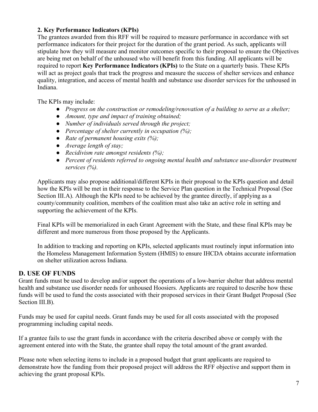### **2. Key Performance Indicators (KPIs)**

The grantees awarded from this RFF will be required to measure performance in accordance with set performance indicators for their project for the duration of the grant period. As such, applicants will stipulate how they will measure and monitor outcomes specific to their proposal to ensure the Objectives are being met on behalf of the unhoused who will benefit from this funding. All applicants will be required to report **Key Performance Indicators (KPIs)** to the State on a quarterly basis. These KPIs will act as project goals that track the progress and measure the success of shelter services and enhance quality, integration, and access of mental health and substance use disorder services for the unhoused in Indiana.

The KPIs may include:

- *Progress on the construction or remodeling/renovation of a building to serve as a shelter;*
- *Amount, type and impact of training obtained;*
- *Number of individuals served through the project;*
- *Percentage of shelter currently in occupation (%);*
- *Rate of permanent housing exits (%);*
- *Average length of stay;*
- *Recidivism rate amongst residents (%);*
- *Percent of residents referred to ongoing mental health and substance use-disorder treatment services (%).*

Applicants may also propose additional/different KPIs in their proposal to the KPIs question and detail how the KPIs will be met in their response to the Service Plan question in the Technical Proposal (See Section III.A). Although the KPIs need to be achieved by the grantee directly, if applying as a county/community coalition, members of the coalition must also take an active role in setting and supporting the achievement of the KPIs.

Final KPIs will be memorialized in each Grant Agreement with the State, and these final KPIs may be different and more numerous from those proposed by the Applicants.

In addition to tracking and reporting on KPIs, selected applicants must routinely input information into the Homeless Management Information System (HMIS) to ensure IHCDA obtains accurate information on shelter utilization across Indiana.

### <span id="page-6-0"></span>**D. USE OF FUNDS**

Grant funds must be used to develop and/or support the operations of a low-barrier shelter that address mental health and substance use disorder needs for unhoused Hoosiers. Applicants are required to describe how these funds will be used to fund the costs associated with their proposed services in their Grant Budget Proposal (See Section III.B).

Funds may be used for capital needs. Grant funds may be used for all costs associated with the proposed programming including capital needs.

If a grantee fails to use the grant funds in accordance with the criteria described above or comply with the agreement entered into with the State, the grantee shall repay the total amount of the grant awarded.

Please note when selecting items to include in a proposed budget that grant applicants are required to demonstrate how the funding from their proposed project will address the RFF objective and support them in achieving the grant proposal KPIs.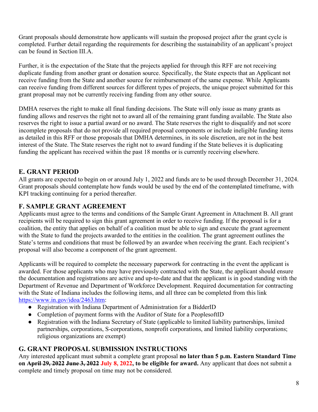Grant proposals should demonstrate how applicants will sustain the proposed project after the grant cycle is completed. Further detail regarding the requirements for describing the sustainability of an applicant's project can be found in Section III.A.

Further, it is the expectation of the State that the projects applied for through this RFF are not receiving duplicate funding from another grant or donation source. Specifically, the State expects that an Applicant not receive funding from the State and another source for reimbursement of the same expense. While Applicants can receive funding from different sources for different types of projects, the unique project submitted for this grant proposal may not be currently receiving funding from any other source.

DMHA reserves the right to make all final funding decisions. The State will only issue as many grants as funding allows and reserves the right not to award all of the remaining grant funding available. The State also reserves the right to issue a partial award or no award. The State reserves the right to disqualify and not score incomplete proposals that do not provide all required proposal components or include ineligible funding items as detailed in this RFF or those proposals that DMHA determines, in its sole discretion, are not in the best interest of the State. The State reserves the right not to award funding if the State believes it is duplicating funding the applicant has received within the past 18 months or is currently receiving elsewhere.

# <span id="page-7-0"></span>**E. GRANT PERIOD**

All grants are expected to begin on or around July 1, 2022 and funds are to be used through December 31, 2024. Grant proposals should contemplate how funds would be used by the end of the contemplated timeframe, with KPI tracking continuing for a period thereafter.

### <span id="page-7-1"></span>**F. SAMPLE GRANT AGREEMENT**

Applicants must agree to the terms and conditions of the Sample Grant Agreement in Attachment B. All grant recipients will be required to sign this grant agreement in order to receive funding. If the proposal is for a coalition, the entity that applies on behalf of a coalition must be able to sign and execute the grant agreement with the State to fund the projects awarded to the entities in the coalition. The grant agreement outlines the State's terms and conditions that must be followed by an awardee when receiving the grant. Each recipient's proposal will also become a component of the grant agreement.

Applicants will be required to complete the necessary paperwork for contracting in the event the applicant is awarded. For those applicants who may have previously contracted with the State, the applicant should ensure the documentation and registrations are active and up-to-date and that the applicant is in good standing with the Department of Revenue and Department of Workforce Development. Required documentation for contracting with the State of Indiana includes the following items, and all three can be completed from this link [https://www.in.gov/idoa/2463.htm:](https://www.in.gov/idoa/2463.htm)

- Registration with Indiana Department of Administration for a BidderID
- Completion of payment forms with the Auditor of State for a PeoplesoftID
- Registration with the Indiana Secretary of State (applicable to limited liability partnerships, limited partnerships, corporations, S-corporations, nonprofit corporations, and limited liability corporations; religious organizations are exempt)

### <span id="page-7-2"></span>**G. GRANT PROPOSAL SUBMISSION INSTRUCTIONS**

Any interested applicant must submit a complete grant proposal **no later than 5 p.m. Eastern Standard Time on April 29, 2022 June 3, 2022 July 8, 2022, to be eligible for award.** Any applicant that does not submit a complete and timely proposal on time may not be considered.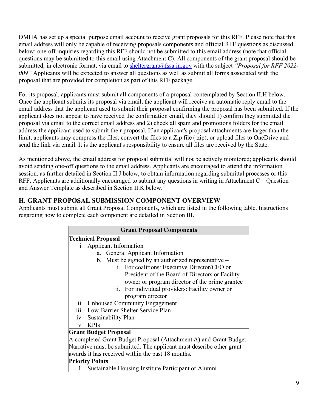DMHA has set up a special purpose email account to receive grant proposals for this RFF. Please note that this email address will only be capable of receiving proposals components and official RFF questions as discussed below; one-off inquiries regarding this RFF should not be submitted to this email address (note that official questions may be submitted to this email using Attachment C). All components of the grant proposal should be submitted, in electronic format, via email to **sheltergrant**@fssa.in.gov with the subject "*Proposal for RFF 2022*-*009"* Applicants will be expected to answer all questions as well as submit all forms associated with the proposal that are provided for completion as part of this RFF package.

For its proposal, applicants must submit all components of a proposal contemplated by Section II.H below. Once the applicant submits its proposal via email, the applicant will receive an automatic reply email to the email address that the applicant used to submit their proposal confirming the proposal has been submitted. If the applicant does not appear to have received the confirmation email, they should 1) confirm they submitted the proposal via email to the correct email address and 2) check all spam and promotions folders for the email address the applicant used to submit their proposal. If an applicant's proposal attachments are larger than the limit, applicants may compress the files, convert the files to a Zip file (.zip), or upload files to OneDrive and send the link via email. It is the applicant's responsibility to ensure all files are received by the State.

As mentioned above, the email address for proposal submittal will not be actively monitored; applicants should avoid sending one-off questions to the email address. Applicants are encouraged to attend the information session, as further detailed in Section II.J below, to obtain information regarding submittal processes or this RFF. Applicants are additionally encouraged to submit any questions in writing in Attachment C – Question and Answer Template as described in Section II.K below.

# <span id="page-8-0"></span>**H. GRANT PROPOSAL SUBMISSION COMPONENT OVERVIEW**

Applicants must submit all Grant Proposal Components, which are listed in the following table. Instructions regarding how to complete each component are detailed in Section III.

| <b>Grant Proposal Components</b>                                     |  |  |
|----------------------------------------------------------------------|--|--|
| <b>Technical Proposal</b>                                            |  |  |
| i. Applicant Information                                             |  |  |
| <b>General Applicant Information</b>                                 |  |  |
| b. Must be signed by an authorized representative -                  |  |  |
| i. For coalitions: Executive Director/CEO or                         |  |  |
| President of the Board of Directors or Facility                      |  |  |
| owner or program director of the prime grantee                       |  |  |
| ii. For individual providers: Facility owner or                      |  |  |
| program director                                                     |  |  |
| ii. Unhoused Community Engagement                                    |  |  |
| iii. Low-Barrier Shelter Service Plan                                |  |  |
| iv. Sustainability Plan                                              |  |  |
| <b>KPIs</b><br>$V_{-}$                                               |  |  |
| <b>Grant Budget Proposal</b>                                         |  |  |
| A completed Grant Budget Proposal (Attachment A) and Grant Budget    |  |  |
| Narrative must be submitted. The applicant must describe other grant |  |  |
| awards it has received within the past 18 months.                    |  |  |
| <b>Priority Points</b>                                               |  |  |
| Sustainable Housing Institute Participant or Alumni                  |  |  |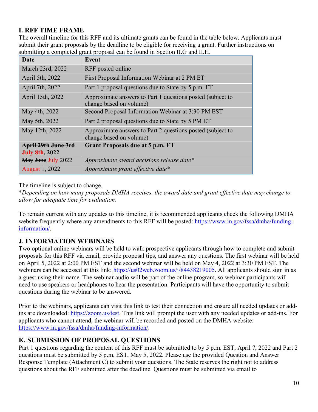# <span id="page-9-0"></span>**I. RFF TIME FRAME**

The overall timeline for this RFF and its ultimate grants can be found in the table below. Applicants must submit their grant proposals by the deadline to be eligible for receiving a grant. Further instructions on submitting a completed grant proposal can be found in Section II.G and II.H.

| Date                                         | <b>Event</b>                                                                          |
|----------------------------------------------|---------------------------------------------------------------------------------------|
| March 23rd, 2022                             | RFF posted online                                                                     |
| April 5th, 2022                              | First Proposal Information Webinar at 2 PM ET                                         |
| April 7th, 2022                              | Part 1 proposal questions due to State by 5 p.m. ET                                   |
| April 15th, 2022                             | Approximate answers to Part 1 questions posted (subject to<br>change based on volume) |
| May 4th, 2022                                | Second Proposal Information Webinar at 3:30 PM EST                                    |
| May 5th, 2022                                | Part 2 proposal questions due to State by 5 PM ET                                     |
| May 12th, 2022                               | Approximate answers to Part 2 questions posted (subject to<br>change based on volume) |
| April 29th June 3rd<br><b>July 8th, 2022</b> | <b>Grant Proposals due at 5 p.m. ET</b>                                               |
| May June July 2022                           | Approximate award decisions release date*                                             |
| <b>August 1, 2022</b>                        | Approximate grant effective date*                                                     |

The timeline is subject to change.

\**Depending on how many proposals DMHA receives, the award date and grant effective date may change to allow for adequate time for evaluation.*

To remain current with any updates to this timeline, it is recommended applicants check the following DMHA website frequently where any amendments to this RFF will be posted: [https://www.in.gov/fssa/dmha/funding](https://www.in.gov/fssa/dmha/funding-information/)[information/.](https://www.in.gov/fssa/dmha/funding-information/)

# <span id="page-9-1"></span>**J. INFORMATION WEBINARS**

Two optional online webinars will be held to walk prospective applicants through how to complete and submit proposals for this RFF via email, provide proposal tips, and answer any questions. The first webinar will be held on April 5, 2022 at 2:00 PM EST and the second webinar will be held on May 4, 2022 at 3:30 PM EST. The webinars can be accessed at this link: [https://us02web.zoom.us/j/84438219005.](https://us02web.zoom.us/j/84438219005) All applicants should sign in as a guest using their name. The webinar audio will be part of the online program, so webinar participants will need to use speakers or headphones to hear the presentation. Participants will have the opportunity to submit questions during the webinar to be answered.

Prior to the webinars, applicants can visit this link to test their connection and ensure all needed updates or addins are downloaded: [https://zoom.us/test.](https://zoom.us/test) This link will prompt the user with any needed updates or add-ins. For applicants who cannot attend, the webinar will be recorded and posted on the DMHA website: [https://www.in.gov/fssa/dmha/funding-information/.](https://www.in.gov/fssa/dmha/funding-information/)

# <span id="page-9-2"></span>**K. SUBMISSION OF PROPOSAL QUESTIONS**

Part 1 questions regarding the content of this RFF must be submitted to by 5 p.m. EST, April 7, 2022 and Part 2 questions must be submitted by 5 p.m. EST, May 5, 2022. Please use the provided Question and Answer Response Template (Attachment C) to submit your questions. The State reserves the right not to address questions about the RFF submitted after the deadline. Questions must be submitted via email to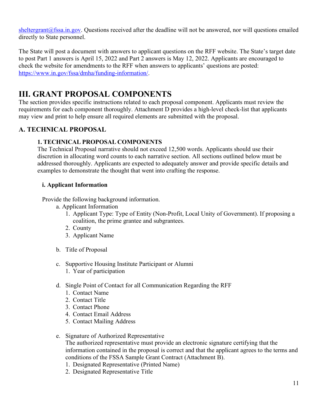[sheltergrant@fssa.in.gov.](mailto:sheltergrant@fssa.in.gov) Questions received after the deadline will not be answered, nor will questions emailed directly to State personnel.

The State will post a document with answers to applicant questions on the RFF website. The State's target date to post Part 1 answers is April 15, 2022 and Part 2 answers is May 12, 2022. Applicants are encouraged to check the website for amendments to the RFF when answers to applicants' questions are posted: [https://www.in.gov/fssa/dmha/funding-information/.](https://www.in.gov/fssa/dmha/funding-information/)

# <span id="page-10-0"></span>**III. GRANT PROPOSAL COMPONENTS**

The section provides specific instructions related to each proposal component. Applicants must review the requirements for each component thoroughly. Attachment D provides a high-level check-list that applicants may view and print to help ensure all required elements are submitted with the proposal.

### <span id="page-10-2"></span><span id="page-10-1"></span>**A. TECHNICAL PROPOSAL**

### **1. TECHNICAL PROPOSAL COMPONENTS**

The Technical Proposal narrative should not exceed 12,500 words. Applicants should use their discretion in allocating word counts to each narrative section. All sections outlined below must be addressed thoroughly. Applicants are expected to adequately answer and provide specific details and examples to demonstrate the thought that went into crafting the response.

### **i. Applicant Information**

Provide the following background information.

- a. Applicant Information
	- 1. Applicant Type: Type of Entity (Non-Profit, Local Unity of Government). If proposing a coalition, the prime grantee and subgrantees.
	- 2. County
	- 3. Applicant Name
- b. Title of Proposal
- c. Supportive Housing Institute Participant or Alumni
	- 1. Year of participation
- d. Single Point of Contact for all Communication Regarding the RFF
	- 1. Contact Name
	- 2. Contact Title
	- 3. Contact Phone
	- 4. Contact Email Address
	- 5. Contact Mailing Address
- e. Signature of Authorized Representative

The authorized representative must provide an electronic signature certifying that the information contained in the proposal is correct and that the applicant agrees to the terms and conditions of the FSSA Sample Grant Contract (Attachment B).

- 1. Designated Representative (Printed Name)
- 2. Designated Representative Title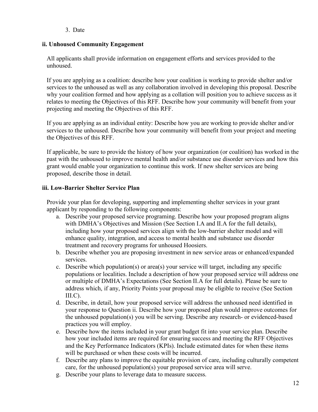### 3. Date

### **ii. Unhoused Community Engagement**

All applicants shall provide information on engagement efforts and services provided to the unhoused.

If you are applying as a coalition: describe how your coalition is working to provide shelter and/or services to the unhoused as well as any collaboration involved in developing this proposal. Describe why your coalition formed and how applying as a collation will position you to achieve success as it relates to meeting the Objectives of this RFF. Describe how your community will benefit from your projecting and meeting the Objectives of this RFF.

If you are applying as an individual entity: Describe how you are working to provide shelter and/or services to the unhoused. Describe how your community will benefit from your project and meeting the Objectives of this RFF.

If applicable, be sure to provide the history of how your organization (or coalition) has worked in the past with the unhoused to improve mental health and/or substance use disorder services and how this grant would enable your organization to continue this work. If new shelter services are being proposed, describe those in detail.

### **iii. Low-Barrier Shelter Service Plan**

Provide your plan for developing, supporting and implementing shelter services in your grant applicant by responding to the following components:

- a. Describe your proposed service programing. Describe how your proposed program aligns with DMHA's Objectives and Mission (See Section I.A and II.A for the full details), including how your proposed services align with the low-barrier shelter model and will enhance quality, integration, and access to mental health and substance use disorder treatment and recovery programs for unhoused Hoosiers.
- b. Describe whether you are proposing investment in new service areas or enhanced/expanded services.
- c. Describe which population(s) or area(s) your service will target, including any specific populations or localities. Include a description of how your proposed service will address one or multiple of DMHA's Expectations (See Section II.A for full details). Please be sure to address which, if any, Priority Points your proposal may be eligible to receive (See Section  $III.C$ ).
- d. Describe, in detail, how your proposed service will address the unhoused need identified in your response to Question ii. Describe how your proposed plan would improve outcomes for the unhoused population(s) you will be serving. Describe any research- or evidenced-based practices you will employ.
- e. Describe how the items included in your grant budget fit into your service plan. Describe how your included items are required for ensuring success and meeting the RFF Objectives and the Key Performance Indicators (KPIs). Include estimated dates for when these items will be purchased or when these costs will be incurred.
- f. Describe any plans to improve the equitable provision of care, including culturally competent care, for the unhoused population(s) your proposed service area will serve.
- g. Describe your plans to leverage data to measure success.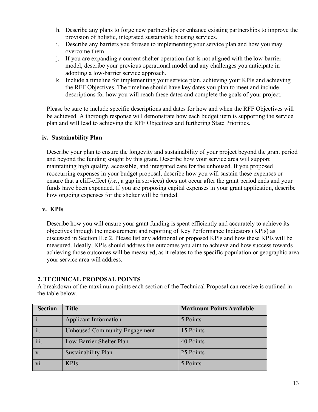- h. Describe any plans to forge new partnerships or enhance existing partnerships to improve the provision of holistic, integrated sustainable housing services.
- i. Describe any barriers you foresee to implementing your service plan and how you may overcome them.
- j. If you are expanding a current shelter operation that is not aligned with the low-barrier model, describe your previous operational model and any challenges you anticipate in adopting a low-barrier service approach.
- k. Include a timeline for implementing your service plan, achieving your KPIs and achieving the RFF Objectives. The timeline should have key dates you plan to meet and include descriptions for how you will reach these dates and complete the goals of your project.

Please be sure to include specific descriptions and dates for how and when the RFF Objectives will be achieved. A thorough response will demonstrate how each budget item is supporting the service plan and will lead to achieving the RFF Objectives and furthering State Priorities.

#### **iv. Sustainability Plan**

Describe your plan to ensure the longevity and sustainability of your project beyond the grant period and beyond the funding sought by this grant. Describe how your service area will support maintaining high quality, accessible, and integrated care for the unhoused. If you proposed reoccurring expenses in your budget proposal, describe how you will sustain these expenses or ensure that a cliff-effect (*i.e.*, a gap in services) does not occur after the grant period ends and your funds have been expended. If you are proposing capital expenses in your grant application, describe how ongoing expenses for the shelter will be funded.

#### **v. KPIs**

Describe how you will ensure your grant funding is spent efficiently and accurately to achieve its objectives through the measurement and reporting of Key Performance Indicators (KPIs) as discussed in Section II.c.2. Please list any additional or proposed KPIs and how these KPIs will be measured. Ideally, KPIs should address the outcomes you aim to achieve and how success towards achieving those outcomes will be measured, as it relates to the specific population or geographic area your service area will address.

### <span id="page-12-0"></span>**2. TECHNICAL PROPOSAL POINTS**

A breakdown of the maximum points each section of the Technical Proposal can receive is outlined in the table below.

| <b>Section</b>       | <b>Title</b>                         | <b>Maximum Points Available</b> |
|----------------------|--------------------------------------|---------------------------------|
|                      | <b>Applicant Information</b>         | 5 Points                        |
| ii.                  | <b>Unhoused Community Engagement</b> | 15 Points                       |
| $\dddot{\mathbf{u}}$ | Low-Barrier Shelter Plan             | 40 Points                       |
|                      | Sustainability Plan                  | 25 Points                       |
|                      | <b>KPIs</b>                          | 5 Points                        |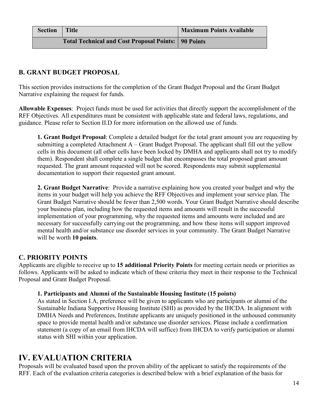| <b>Section</b> | Title                                                        | <b>Maximum Points Available</b> |
|----------------|--------------------------------------------------------------|---------------------------------|
|                | <b>Total Technical and Cost Proposal Points:   90 Points</b> |                                 |

# <span id="page-13-0"></span>**B. GRANT BUDGET PROPOSAL**

This section provides instructions for the completion of the Grant Budget Proposal and the Grant Budget Narrative explaining the request for funds.

**Allowable Expenses**: Project funds must be used for activities that directly support the accomplishment of the RFF Objectives. All expenditures must be consistent with applicable state and federal laws, regulations, and guidance. Please refer to Section II.D for more information on the allowed use of funds.

**1. Grant Budget Proposal**: Complete a detailed budget for the total grant amount you are requesting by submitting a completed Attachment A – Grant Budget Proposal. The applicant shall fill out the yellow cells in this document (all other cells have been locked by DMHA and applicants shall not try to modify them). Respondent shall complete a single budget that encompasses the total proposed grant amount requested. The grant amount requested will not be scored. Respondents may submit supplemental documentation to support their requested grant amount.

**2. Grant Budget Narrative**: Provide a narrative explaining how you created your budget and why the items in your budget will help you achieve the RFF Objectives and implement your service plan. The Grant Budget Narrative should be fewer than 2,500 words. Your Grant Budget Narrative should describe your business plan, including how the requested items and amounts will result in the successful implementation of your programming, why the requested items and amounts were included and are necessary for successfully carrying out the programming, and how these items will support improved mental health and/or substance use disorder services in your community. The Grant Budget Narrative will be worth **10 points**.

# <span id="page-13-1"></span>**C. PRIORITY POINTS**

Applicants are eligible to receive up to **15 additional Priority Points** for meeting certain needs or priorities as follows. Applicants will be asked to indicate which of these criteria they meet in their response to the Technical Proposal and Grant Budget Proposal.

### **1. Participants and Alumni of the Sustainable Housing Institute (15 points)**

As stated in Section I.A, preference will be given to applicants who are participants or alumni of the Sustainable Indiana Supportive Housing Institute (SHI) as provided by the IHCDA. In alignment with DMHA Needs and Preferences, Institute applicants are uniquely positioned in the unhoused community space to provide mental health and/or substance use disorder services. Please include a confirmation statement (a copy of an email from IHCDA will suffice) from IHCDA to verify participation or alumni status with SHI within your application.

# <span id="page-13-2"></span>**IV. EVALUATION CRITERIA**

Proposals will be evaluated based upon the proven ability of the applicant to satisfy the requirements of the RFF. Each of the evaluation criteria categories is described below with a brief explanation of the basis for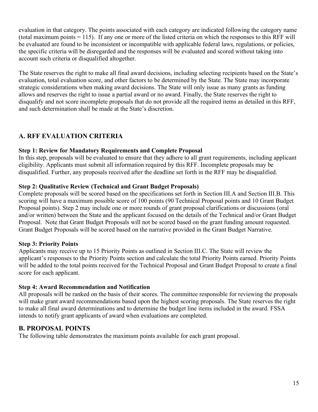evaluation in that category. The points associated with each category are indicated following the category name (total maximum points = 115). If any one or more of the listed criteria on which the responses to this RFF will be evaluated are found to be inconsistent or incompatible with applicable federal laws, regulations, or policies, the specific criteria will be disregarded and the responses will be evaluated and scored without taking into account such criteria or disqualified altogether.

The State reserves the right to make all final award decisions, including selecting recipients based on the State's evaluation, total evaluation score, and other factors to be determined by the State. The State may incorporate strategic considerations when making award decisions. The State will only issue as many grants as funding allows and reserves the right to issue a partial award or no award. Finally, the State reserves the right to disqualify and not score incomplete proposals that do not provide all the required items as detailed in this RFF, and such determination shall be made at the State's discretion.

# <span id="page-14-0"></span>**A. RFF EVALUATION CRITERIA**

### **Step 1: Review for Mandatory Requirements and Complete Proposal**

In this step, proposals will be evaluated to ensure that they adhere to all grant requirements, including applicant eligibility. Applicants must submit all information required by this RFF. Incomplete proposals may be disqualified. Further, any proposals received after the deadline set forth in the RFF may be disqualified.

### **Step 2: Qualitative Review (Technical and Grant Budget Proposals)**

Complete proposals will be scored based on the specifications set forth in Section III.A and Section III.B. This scoring will have a maximum possible score of 100 points (90 Technical Proposal points and 10 Grant Budget Proposal points). Step 2 may include one or more rounds of grant proposal clarifications or discussions (oral and/or written) between the State and the applicant focused on the details of the Technical and/or Grant Budget Proposal. Note that Grant Budget Proposals will not be scored based on the grant funding amount requested. Grant Budget Proposals will be scored based on the narrative provided in the Grant Budget Narrative.

### **Step 3: Priority Points**

Applicants may receive up to 15 Priority Points as outlined in Section III.C. The State will review the applicant's responses to the Priority Points section and calculate the total Priority Points earned. Priority Points will be added to the total points received for the Technical Proposal and Grant Budget Proposal to create a final score for each applicant.

### **Step 4: Award Recommendation and Notification**

All proposals will be ranked on the basis of their scores. The committee responsible for reviewing the proposals will make grant award recommendations based upon the highest scoring proposals. The State reserves the right to make all final award determinations and to determine the budget line items included in the award. FSSA intends to notify grant applicants of award when evaluations are completed.

# <span id="page-14-1"></span>**B. PROPOSAL POINTS**

The following table demonstrates the maximum points available for each grant proposal.